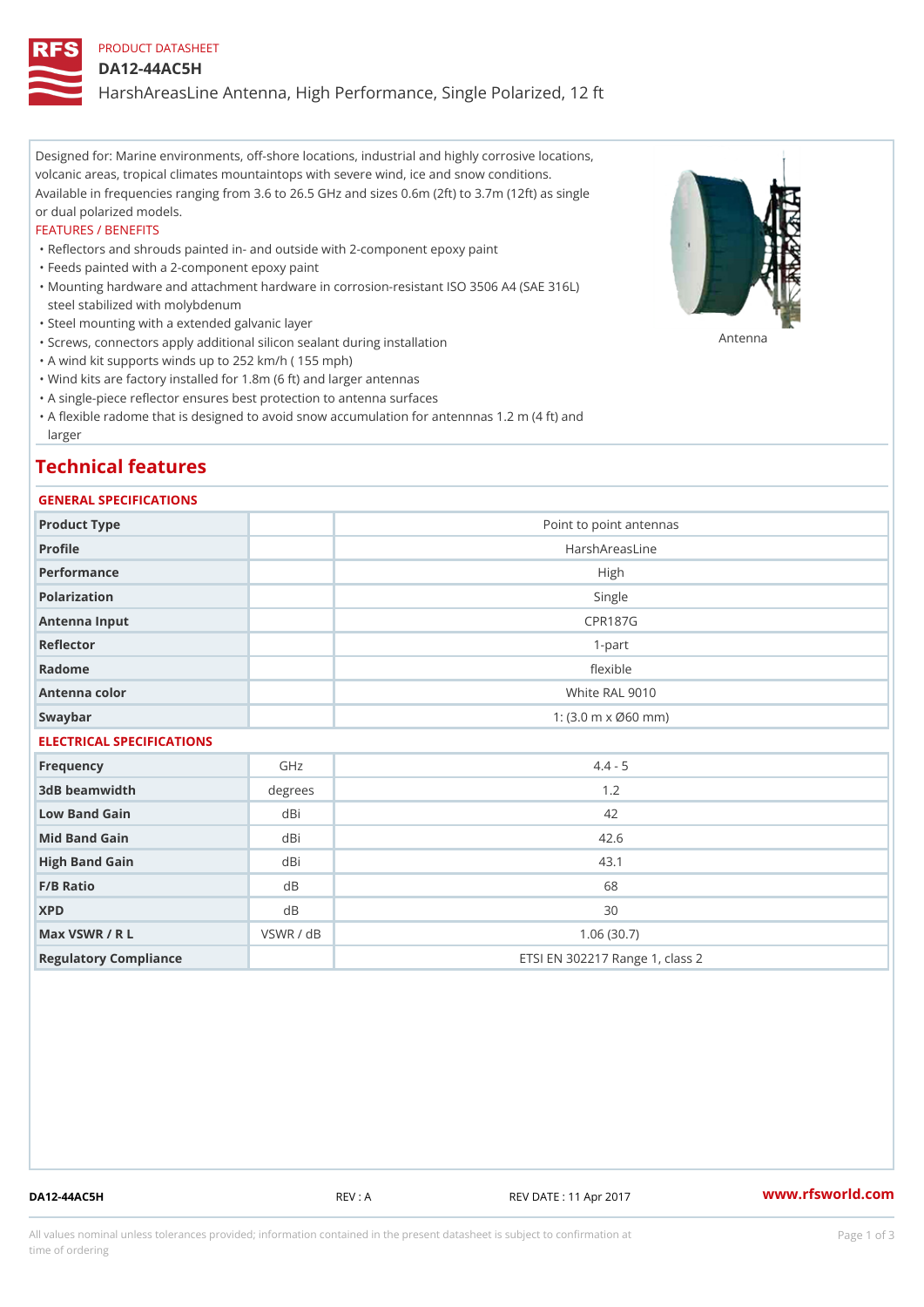## PRODUCT DATASHEET

#### DA12-44AC5H

HarshAreasLine Antenna, High Performance, Single Polarized, 12 ft

Designed for: Marine environments, off-shore locations, industrial and highly corrosive locations, volcanic areas, tropical climates mountaintops with severe wind, ice and snow conditions. Available in frequencies ranging from 3.6 to 26.5 GHz and sizes 0.6m (2ft) to 3.7m (12ft) as single or dual polarized models.

#### FEATURES / BENEFITS

"Reflectors and shrouds painted in- and outside with 2-component epoxy paint

- "Feeds painted with a 2-component epoxy paint
- Mounting hardware and attachment hardware in corrosion-resistant ISO 3506 A4 (SAE 316L) " steel stabilized with molybdenum
- "Steel mounting with a extended galvanic layer
- "Screws, connectors apply additional silicon sealant during installation Antenna
- "A wind kit supports winds up to 252 km/h ( 155 mph)
- "Wind kits are factory installed for 1.8m (6 ft) and larger antennas
- "A single-piece reflector ensures best protection to antenna surfaces
- "A flexible radome that is designed to avoid snow accumulation for antennnas 1.2 m (4 ft) and larger

# Technical features

## GENERAL SPECIFICATIONS

| Product Type              |           | Point to point antennas                                 |  |  |
|---------------------------|-----------|---------------------------------------------------------|--|--|
| Profile                   |           | HarshAreasLine                                          |  |  |
| Performance               | High      |                                                         |  |  |
| Polarization              |           | Single                                                  |  |  |
| Antenna Input             |           | <b>CPR187G</b>                                          |  |  |
| Reflector                 |           | $1 - p$ art                                             |  |  |
| Radome                    |           | flexible                                                |  |  |
| Antenna color             |           | White RAL 9010                                          |  |  |
| Swaybar                   |           | 1: $(3.0 \, \text{m} \times \emptyset 60 \, \text{mm})$ |  |  |
| ELECTRICAL SPECIFICATIONS |           |                                                         |  |  |
| Frequency                 | GHz       | $4.4 - 5$                                               |  |  |
| 3dB beamwidth             | degrees   | 1.2                                                     |  |  |
| Low Band Gain             | dBi       | 42                                                      |  |  |
| Mid Band Gain             | dBi       | 42.6                                                    |  |  |
| High Band Gain            | dBi       | 43.1                                                    |  |  |
| $F/B$ Ratio               | d B       | 68                                                      |  |  |
| <b>XPD</b>                | d B       | 30                                                      |  |  |
| Max VSWR / R L            | VSWR / dB | 1.06(30.7)                                              |  |  |
| Regulatory Compliance     |           | ETSI EN 302217 Range 1, class 2                         |  |  |

DA12-44AC5H REV : A REV DATE : 11 Apr 2017 [www.](https://www.rfsworld.com)rfsworld.com

All values nominal unless tolerances provided; information contained in the present datasheet is subject to Pcapgeign mation time of ordering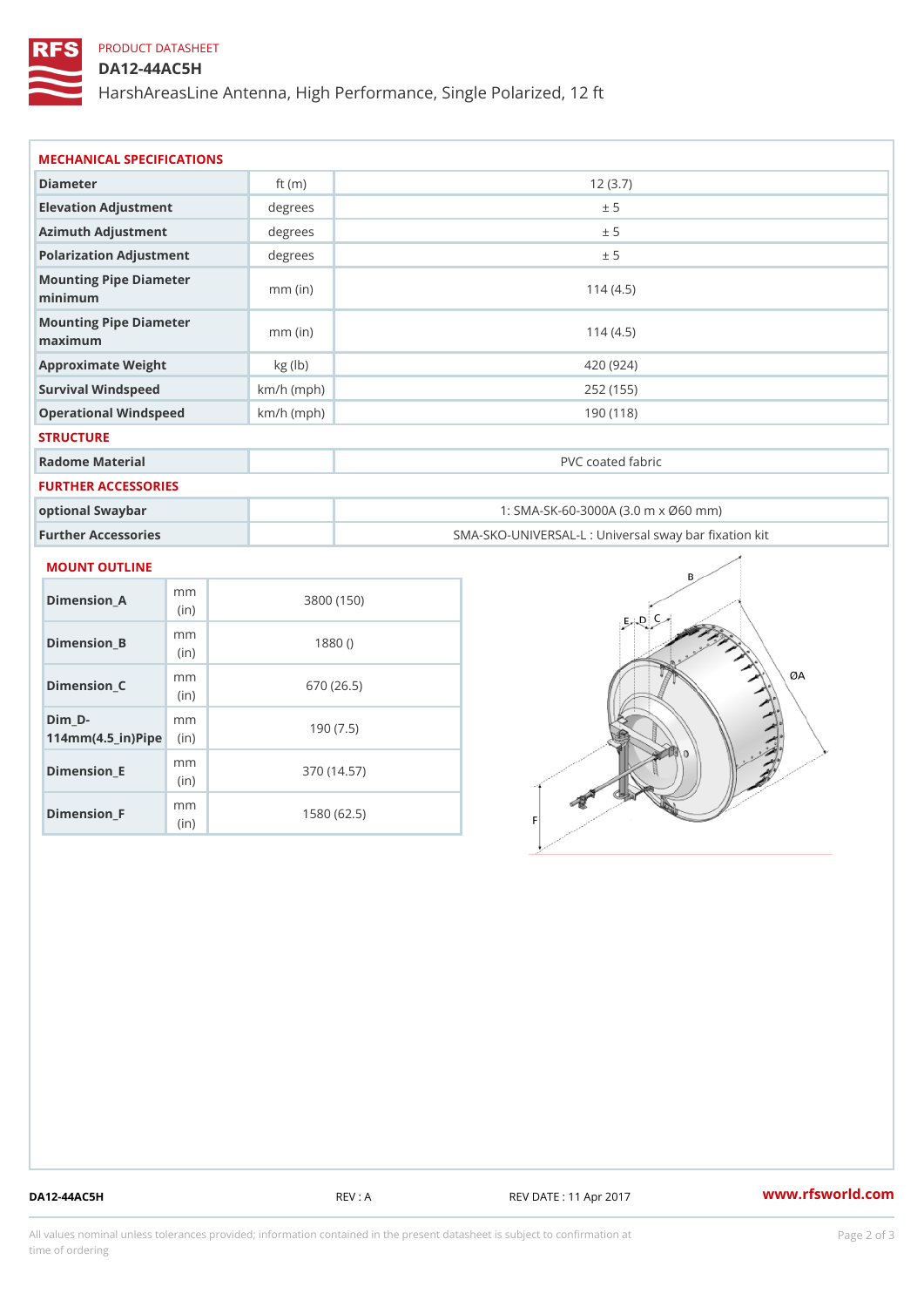# PRODUCT DATASHEET

## DA12-44AC5H

HarshAreasLine Antenna, High Performance, Single Polarized, 12 ft

| MECHANICAL SPECIFICATIONS                     |              |                                                   |
|-----------------------------------------------|--------------|---------------------------------------------------|
| Diameter                                      | ft $(m)$     | 12(3.7)                                           |
| Elevation Adjustment                          | degree       | ± 5                                               |
| Azimuth Adjustment                            | degrees      | ± 5                                               |
| Polarization Adjustment                       | degree       | ± 5                                               |
| Mounting Pipe Diameter<br>minimum             | $mm$ (in)    | 114(4.5)                                          |
| Mounting Pipe Diameter<br>$m$ a x i $m$ u $m$ | $mm$ (in)    | 114(4.5)                                          |
| Approximate Weight                            | kg (lb)      | 420 (924)                                         |
| Survival Windspeed                            | $km/h$ (mph) | 252 (155)                                         |
| Operational Windspeed                         | $km/h$ (mph) | 190 (118)                                         |
| <b>STRUCTURE</b>                              |              |                                                   |
| Radome Material                               |              | PVC coated fabric                                 |
| FURTHER ACCESSORIES                           |              |                                                   |
| optional Swaybar                              |              | 1: SMA-SK-60-3000A (3.0 m x Ø60 mm)               |
| Further Accessories                           |              | SMA-SKO-UNIVERSAL-L : Universal sway bar fixation |

### MOUNT OUTLINE

| Dimension A                                                   | m m<br>(in)  | 3800 (150)  |
|---------------------------------------------------------------|--------------|-------------|
| Dimension_B                                                   | m m<br>(i n) | 1880()      |
| Dimension C                                                   | m m<br>(in)  | 670 (26.5)  |
| Dim D-<br>$114$ m m (4.5 _ i r ) $\mathbb{R}$ in $\mathbb{R}$ | m m          | 190(7.5)    |
| Dimension E                                                   | m m<br>(in)  | 370 (14.57) |
| Dimension F                                                   | m m<br>(i n) | 1580 (62.5) |

DA12-44AC5H REV : A REV DATE : 11 Apr 2017 [www.](https://www.rfsworld.com)rfsworld.com